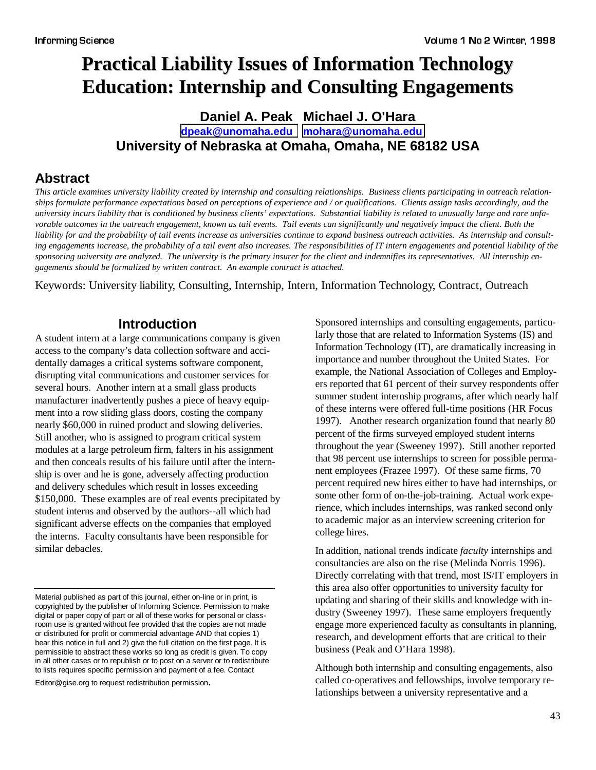# **Practical Liability Issues of Information Technology Education: Internship and Consulting Engagements**

### **Daniel A. Peak Michael J. O'Hara [dpeak@unomaha.edu](mailto:dpeak@unomaha.edu) [mohara@unomaha.edu](mailto:mohara@unomaha.edu) University of Nebraska at Omaha, Omaha, NE 68182 USA**

### **Abstract**

*This article examines university liability created by internship and consulting relationships. Business clients participating in outreach relationships formulate performance expectations based on perceptions of experience and / or qualifications. Clients assign tasks accordingly, and the university incurs liability that is conditioned by business clients' expectations. Substantial liability is related to unusually large and rare unfavorable outcomes in the outreach engagement, known as tail events. Tail events can significantly and negatively impact the client. Both the liability for and the probability of tail events increase as universities continue to expand business outreach activities. As internship and consulting engagements increase, the probability of a tail event also increases. The responsibilities of IT intern engagements and potential liability of the sponsoring university are analyzed. The university is the primary insurer for the client and indemnifies its representatives. All internship engagements should be formalized by written contract. An example contract is attached.*

Keywords: University liability, Consulting, Internship, Intern, Information Technology, Contract, Outreach

### **Introduction**

A student intern at a large communications company is given access to the company's data collection software and accidentally damages a critical systems software component, disrupting vital communications and customer services for several hours. Another intern at a small glass products manufacturer inadvertently pushes a piece of heavy equipment into a row sliding glass doors, costing the company nearly \$60,000 in ruined product and slowing deliveries. Still another, who is assigned to program critical system modules at a large petroleum firm, falters in his assignment and then conceals results of his failure until after the internship is over and he is gone, adversely affecting production and delivery schedules which result in losses exceeding \$150,000. These examples are of real events precipitated by student interns and observed by the authors--all which had significant adverse effects on the companies that employed the interns. Faculty consultants have been responsible for similar debacles.

Editor@gise.org to request redistribution permission.

Sponsored internships and consulting engagements, particularly those that are related to Information Systems (IS) and Information Technology (IT), are dramatically increasing in importance and number throughout the United States. For example, the National Association of Colleges and Employers reported that 61 percent of their survey respondents offer summer student internship programs, after which nearly half of these interns were offered full-time positions (HR Focus 1997). Another research organization found that nearly 80 percent of the firms surveyed employed student interns throughout the year (Sweeney 1997). Still another reported that 98 percent use internships to screen for possible permanent employees (Frazee 1997). Of these same firms, 70 percent required new hires either to have had internships, or some other form of on-the-job-training. Actual work experience, which includes internships, was ranked second only to academic major as an interview screening criterion for college hires.

In addition, national trends indicate *faculty* internships and consultancies are also on the rise (Melinda Norris 1996). Directly correlating with that trend, most IS/IT employers in this area also offer opportunities to university faculty for updating and sharing of their skills and knowledge with industry (Sweeney 1997). These same employers frequently engage more experienced faculty as consultants in planning, research, and development efforts that are critical to their business (Peak and O'Hara 1998).

Although both internship and consulting engagements, also called co-operatives and fellowships, involve temporary relationships between a university representative and a

Material published as part of this journal, either on-line or in print, is copyrighted by the publisher of Informing Science. Permission to make digital or paper copy of part or all of these works for personal or classroom use is granted without fee provided that the copies are not made or distributed for profit or commercial advantage AND that copies 1) bear this notice in full and 2) give the full citation on the first page. It is permissible to abstract these works so long as credit is given. To copy in all other cases or to republish or to post on a server or to redistribute to lists requires specific permission and payment of a fee. Contact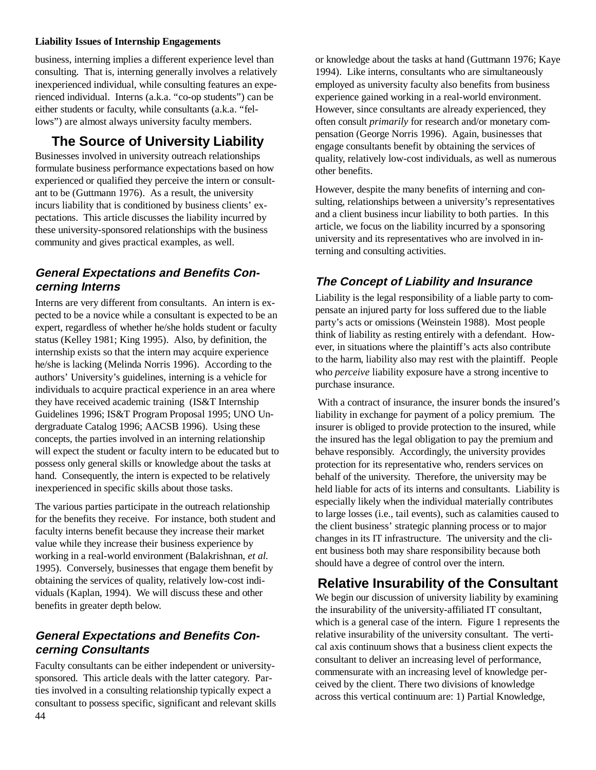business, interning implies a different experience level than consulting. That is, interning generally involves a relatively inexperienced individual, while consulting features an experienced individual. Interns (a.k.a. "co-op students") can be either students or faculty, while consultants (a.k.a. "fellows") are almost always university faculty members.

# **The Source of University Liability**

Businesses involved in university outreach relationships formulate business performance expectations based on how experienced or qualified they perceive the intern or consultant to be (Guttmann 1976). As a result, the university incurs liability that is conditioned by business clients' expectations. This article discusses the liability incurred by these university-sponsored relationships with the business community and gives practical examples, as well.

#### **General Expectations and Benefits Concerning Interns**

Interns are very different from consultants. An intern is expected to be a novice while a consultant is expected to be an expert, regardless of whether he/she holds student or faculty status (Kelley 1981; King 1995). Also, by definition, the internship exists so that the intern may acquire experience he/she is lacking (Melinda Norris 1996). According to the authors' University's guidelines, interning is a vehicle for individuals to acquire practical experience in an area where they have received academic training (IS&T Internship Guidelines 1996; IS&T Program Proposal 1995; UNO Undergraduate Catalog 1996; AACSB 1996). Using these concepts, the parties involved in an interning relationship will expect the student or faculty intern to be educated but to possess only general skills or knowledge about the tasks at hand. Consequently, the intern is expected to be relatively inexperienced in specific skills about those tasks.

The various parties participate in the outreach relationship for the benefits they receive. For instance, both student and faculty interns benefit because they increase their market value while they increase their business experience by working in a real-world environment (Balakrishnan, *et al.* 1995). Conversely, businesses that engage them benefit by obtaining the services of quality, relatively low-cost individuals (Kaplan, 1994). We will discuss these and other benefits in greater depth below.

### **General Expectations and Benefits Concerning Consultants**

44 Faculty consultants can be either independent or universitysponsored. This article deals with the latter category. Parties involved in a consulting relationship typically expect a consultant to possess specific, significant and relevant skills or knowledge about the tasks at hand (Guttmann 1976; Kaye 1994). Like interns, consultants who are simultaneously employed as university faculty also benefits from business experience gained working in a real-world environment. However, since consultants are already experienced, they often consult *primarily* for research and/or monetary compensation (George Norris 1996). Again, businesses that engage consultants benefit by obtaining the services of quality, relatively low-cost individuals, as well as numerous other benefits.

However, despite the many benefits of interning and consulting, relationships between a university's representatives and a client business incur liability to both parties. In this article, we focus on the liability incurred by a sponsoring university and its representatives who are involved in interning and consulting activities.

### **The Concept of Liability and Insurance**

Liability is the legal responsibility of a liable party to compensate an injured party for loss suffered due to the liable party's acts or omissions (Weinstein 1988). Most people think of liability as resting entirely with a defendant. However, in situations where the plaintiff's acts also contribute to the harm, liability also may rest with the plaintiff. People who *perceive* liability exposure have a strong incentive to purchase insurance.

 With a contract of insurance, the insurer bonds the insured's liability in exchange for payment of a policy premium. The insurer is obliged to provide protection to the insured, while the insured has the legal obligation to pay the premium and behave responsibly. Accordingly, the university provides protection for its representative who, renders services on behalf of the university. Therefore, the university may be held liable for acts of its interns and consultants. Liability is especially likely when the individual materially contributes to large losses (i.e., tail events), such as calamities caused to the client business' strategic planning process or to major changes in its IT infrastructure. The university and the client business both may share responsibility because both should have a degree of control over the intern.

# **Relative Insurability of the Consultant**

We begin our discussion of university liability by examining the insurability of the university-affiliated IT consultant, which is a general case of the intern. Figure 1 represents the relative insurability of the university consultant. The vertical axis continuum shows that a business client expects the consultant to deliver an increasing level of performance, commensurate with an increasing level of knowledge perceived by the client. There two divisions of knowledge across this vertical continuum are: 1) Partial Knowledge,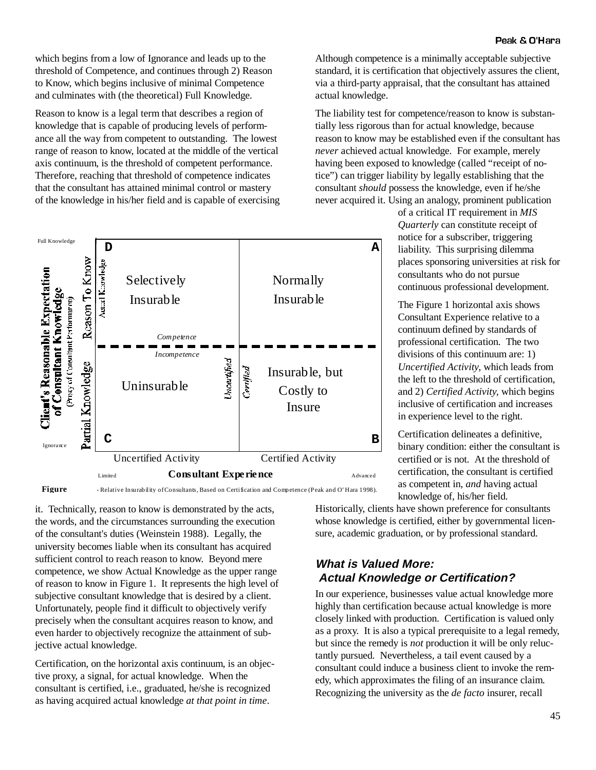which begins from a low of Ignorance and leads up to the threshold of Competence, and continues through 2) Reason to Know, which begins inclusive of minimal Competence and culminates with (the theoretical) Full Knowledge.

Reason to know is a legal term that describes a region of knowledge that is capable of producing levels of performance all the way from competent to outstanding. The lowest range of reason to know, located at the middle of the vertical axis continuum, is the threshold of competent performance. Therefore, reaching that threshold of competence indicates that the consultant has attained minimal control or mastery of the knowledge in his/her field and is capable of exercising



**Figure** 1 - Relative Insurability of Consultants, Based on Certification and Competence (Peak and O' Hara 1998).

it. Technically, reason to know is demonstrated by the acts, the words, and the circumstances surrounding the execution of the consultant's duties (Weinstein 1988). Legally, the university becomes liable when its consultant has acquired sufficient control to reach reason to know. Beyond mere competence, we show Actual Knowledge as the upper range of reason to know in Figure 1. It represents the high level of subjective consultant knowledge that is desired by a client. Unfortunately, people find it difficult to objectively verify precisely when the consultant acquires reason to know, and even harder to objectively recognize the attainment of subjective actual knowledge.

Certification, on the horizontal axis continuum, is an objective proxy, a signal, for actual knowledge. When the consultant is certified, i.e., graduated, he/she is recognized as having acquired actual knowledge *at that point in time*.

Although competence is a minimally acceptable subjective standard, it is certification that objectively assures the client, via a third-party appraisal, that the consultant has attained actual knowledge.

The liability test for competence/reason to know is substantially less rigorous than for actual knowledge, because reason to know may be established even if the consultant has *never* achieved actual knowledge. For example, merely having been exposed to knowledge (called "receipt of notice") can trigger liability by legally establishing that the consultant *should* possess the knowledge, even if he/she never acquired it. Using an analogy, prominent publication

> of a critical IT requirement in *MIS Quarterly* can constitute receipt of notice for a subscriber, triggering liability. This surprising dilemma places sponsoring universities at risk for consultants who do not pursue continuous professional development.

The Figure 1 horizontal axis shows Consultant Experience relative to a continuum defined by standards of professional certification. The two divisions of this continuum are: 1) *Uncertified Activity,* which leads from the left to the threshold of certification, and 2) *Certified Activity,* which begins inclusive of certification and increases in experience level to the right.

Certification delineates a definitive, binary condition: either the consultant is certified or is not. At the threshold of certification, the consultant is certified as competent in, *and* having actual knowledge of, his/her field.

Historically, clients have shown preference for consultants whose knowledge is certified, either by governmental licensure, academic graduation, or by professional standard.

#### **What is Valued More: Actual Knowledge or Certification?**

In our experience, businesses value actual knowledge more highly than certification because actual knowledge is more closely linked with production. Certification is valued only as a proxy. It is also a typical prerequisite to a legal remedy, but since the remedy is *not* production it will be only reluctantly pursued. Nevertheless, a tail event caused by a consultant could induce a business client to invoke the remedy, which approximates the filing of an insurance claim. Recognizing the university as the *de facto* insurer, recall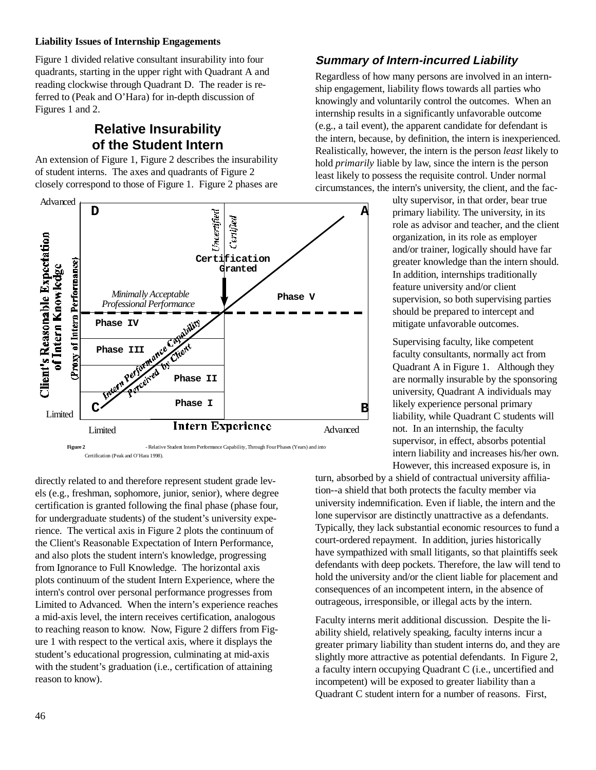Figure 1 divided relative consultant insurability into four quadrants, starting in the upper right with Quadrant A and reading clockwise through Quadrant D. The reader is referred to (Peak and O'Hara) for in-depth discussion of Figures 1 and 2.

# **Relative Insurability of the Student Intern**

An extension of Figure 1, Figure 2 describes the insurability of student interns. The axes and quadrants of Figure 2 closely correspond to those of Figure 1. Figure 2 phases are



**Figure 2** - Relative Student Intern Performance Capability, Through Four Phases (Years) and into Certification (Peak and O'Hara 1998).

directly related to and therefore represent student grade levels (e.g., freshman, sophomore, junior, senior), where degree certification is granted following the final phase (phase four, for undergraduate students) of the student's university experience. The vertical axis in Figure 2 plots the continuum of the Client's Reasonable Expectation of Intern Performance, and also plots the student intern's knowledge, progressing from Ignorance to Full Knowledge. The horizontal axis plots continuum of the student Intern Experience, where the intern's control over personal performance progresses from Limited to Advanced. When the intern's experience reaches a mid-axis level, the intern receives certification, analogous to reaching reason to know. Now, Figure 2 differs from Figure 1 with respect to the vertical axis, where it displays the student's educational progression, culminating at mid-axis with the student's graduation (i.e., certification of attaining reason to know).

#### **Summary of Intern-incurred Liability**

Regardless of how many persons are involved in an internship engagement, liability flows towards all parties who knowingly and voluntarily control the outcomes. When an internship results in a significantly unfavorable outcome (e.g., a tail event), the apparent candidate for defendant is the intern, because, by definition, the intern is inexperienced. Realistically, however, the intern is the person *least* likely to hold *primarily* liable by law, since the intern is the person least likely to possess the requisite control. Under normal circumstances, the intern's university, the client, and the fac-

> ulty supervisor, in that order, bear true primary liability. The university, in its role as advisor and teacher, and the client organization, in its role as employer and/or trainer, logically should have far greater knowledge than the intern should. In addition, internships traditionally feature university and/or client supervision, so both supervising parties should be prepared to intercept and mitigate unfavorable outcomes.

> Supervising faculty, like competent faculty consultants, normally act from Quadrant A in Figure 1. Although they are normally insurable by the sponsoring university, Quadrant A individuals may likely experience personal primary liability, while Quadrant C students will not. In an internship, the faculty supervisor, in effect, absorbs potential intern liability and increases his/her own. However, this increased exposure is, in

turn, absorbed by a shield of contractual university affiliation--a shield that both protects the faculty member via university indemnification. Even if liable, the intern and the lone supervisor are distinctly unattractive as a defendants. Typically, they lack substantial economic resources to fund a court-ordered repayment. In addition, juries historically have sympathized with small litigants, so that plaintiffs seek defendants with deep pockets. Therefore, the law will tend to hold the university and/or the client liable for placement and consequences of an incompetent intern, in the absence of outrageous, irresponsible, or illegal acts by the intern.

Faculty interns merit additional discussion. Despite the liability shield, relatively speaking, faculty interns incur a greater primary liability than student interns do, and they are slightly more attractive as potential defendants. In Figure 2, a faculty intern occupying Quadrant C (i.e., uncertified and incompetent) will be exposed to greater liability than a Quadrant C student intern for a number of reasons. First,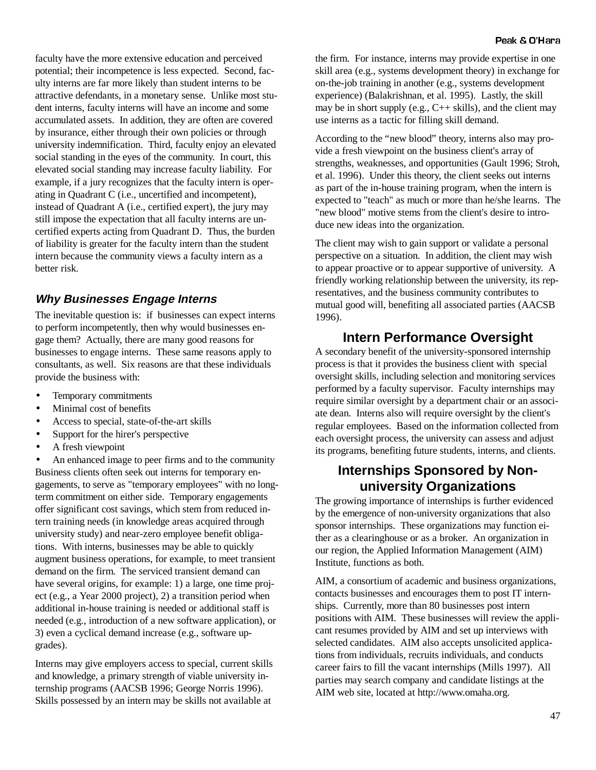faculty have the more extensive education and perceived potential; their incompetence is less expected. Second, faculty interns are far more likely than student interns to be attractive defendants, in a monetary sense. Unlike most student interns, faculty interns will have an income and some accumulated assets. In addition, they are often are covered by insurance, either through their own policies or through university indemnification. Third, faculty enjoy an elevated social standing in the eyes of the community. In court, this elevated social standing may increase faculty liability. For example, if a jury recognizes that the faculty intern is operating in Quadrant C (i.e., uncertified and incompetent), instead of Quadrant A (i.e., certified expert), the jury may still impose the expectation that all faculty interns are uncertified experts acting from Quadrant D. Thus, the burden of liability is greater for the faculty intern than the student intern because the community views a faculty intern as a better risk.

### **Why Businesses Engage Interns**

The inevitable question is: if businesses can expect interns to perform incompetently, then why would businesses engage them? Actually, there are many good reasons for businesses to engage interns. These same reasons apply to consultants, as well. Six reasons are that these individuals provide the business with:

- Temporary commitments
- Minimal cost of benefits
- Access to special, state-of-the-art skills
- Support for the hirer's perspective
- A fresh viewpoint

• An enhanced image to peer firms and to the community Business clients often seek out interns for temporary engagements, to serve as "temporary employees" with no longterm commitment on either side. Temporary engagements offer significant cost savings, which stem from reduced intern training needs (in knowledge areas acquired through university study) and near-zero employee benefit obligations. With interns, businesses may be able to quickly augment business operations, for example, to meet transient demand on the firm. The serviced transient demand can have several origins, for example: 1) a large, one time project (e.g., a Year 2000 project), 2) a transition period when additional in-house training is needed or additional staff is needed (e.g., introduction of a new software application), or 3) even a cyclical demand increase (e.g., software upgrades).

Interns may give employers access to special, current skills and knowledge, a primary strength of viable university internship programs (AACSB 1996; George Norris 1996). Skills possessed by an intern may be skills not available at

the firm. For instance, interns may provide expertise in one skill area (e.g., systems development theory) in exchange for on-the-job training in another (e.g., systems development experience) (Balakrishnan, et al. 1995). Lastly, the skill may be in short supply (e.g.,  $C_{++}$  skills), and the client may use interns as a tactic for filling skill demand.

According to the "new blood" theory, interns also may provide a fresh viewpoint on the business client's array of strengths, weaknesses, and opportunities (Gault 1996; Stroh, et al. 1996). Under this theory, the client seeks out interns as part of the in-house training program, when the intern is expected to "teach" as much or more than he/she learns. The "new blood" motive stems from the client's desire to introduce new ideas into the organization.

The client may wish to gain support or validate a personal perspective on a situation. In addition, the client may wish to appear proactive or to appear supportive of university. A friendly working relationship between the university, its representatives, and the business community contributes to mutual good will, benefiting all associated parties (AACSB 1996).

### **Intern Performance Oversight**

A secondary benefit of the university-sponsored internship process is that it provides the business client with special oversight skills, including selection and monitoring services performed by a faculty supervisor. Faculty internships may require similar oversight by a department chair or an associate dean. Interns also will require oversight by the client's regular employees. Based on the information collected from each oversight process, the university can assess and adjust its programs, benefiting future students, interns, and clients.

### **Internships Sponsored by Nonuniversity Organizations**

The growing importance of internships is further evidenced by the emergence of non-university organizations that also sponsor internships. These organizations may function either as a clearinghouse or as a broker. An organization in our region, the Applied Information Management (AIM) Institute, functions as both.

AIM, a consortium of academic and business organizations, contacts businesses and encourages them to post IT internships. Currently, more than 80 businesses post intern positions with AIM. These businesses will review the applicant resumes provided by AIM and set up interviews with selected candidates. AIM also accepts unsolicited applications from individuals, recruits individuals, and conducts career fairs to fill the vacant internships (Mills 1997). All parties may search company and candidate listings at the AIM web site, located at http://www.omaha.org.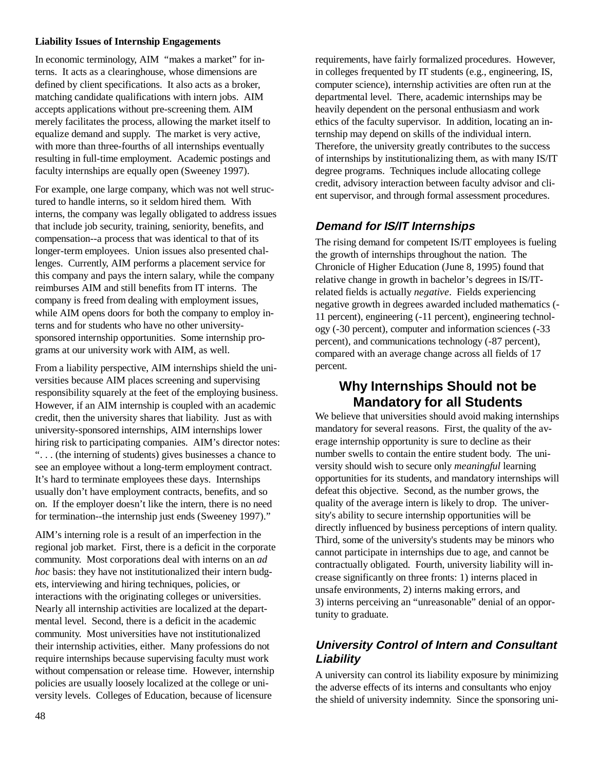In economic terminology, AIM "makes a market" for interns. It acts as a clearinghouse, whose dimensions are defined by client specifications. It also acts as a broker, matching candidate qualifications with intern jobs. AIM accepts applications without pre-screening them. AIM merely facilitates the process, allowing the market itself to equalize demand and supply. The market is very active, with more than three-fourths of all internships eventually resulting in full-time employment. Academic postings and faculty internships are equally open (Sweeney 1997).

For example, one large company, which was not well structured to handle interns, so it seldom hired them. With interns, the company was legally obligated to address issues that include job security, training, seniority, benefits, and compensation--a process that was identical to that of its longer-term employees. Union issues also presented challenges. Currently, AIM performs a placement service for this company and pays the intern salary, while the company reimburses AIM and still benefits from IT interns. The company is freed from dealing with employment issues, while AIM opens doors for both the company to employ interns and for students who have no other universitysponsored internship opportunities. Some internship programs at our university work with AIM, as well.

From a liability perspective, AIM internships shield the universities because AIM places screening and supervising responsibility squarely at the feet of the employing business. However, if an AIM internship is coupled with an academic credit, then the university shares that liability. Just as with university-sponsored internships, AIM internships lower hiring risk to participating companies. AIM's director notes: ". . . (the interning of students) gives businesses a chance to see an employee without a long-term employment contract. It's hard to terminate employees these days. Internships usually don't have employment contracts, benefits, and so on. If the employer doesn't like the intern, there is no need for termination--the internship just ends (Sweeney 1997)."

AIM's interning role is a result of an imperfection in the regional job market. First, there is a deficit in the corporate community. Most corporations deal with interns on an *ad hoc* basis: they have not institutionalized their intern budgets, interviewing and hiring techniques, policies, or interactions with the originating colleges or universities. Nearly all internship activities are localized at the departmental level. Second, there is a deficit in the academic community. Most universities have not institutionalized their internship activities, either. Many professions do not require internships because supervising faculty must work without compensation or release time. However, internship policies are usually loosely localized at the college or university levels. Colleges of Education, because of licensure

requirements, have fairly formalized procedures. However, in colleges frequented by IT students (e.g., engineering, IS, computer science), internship activities are often run at the departmental level. There, academic internships may be heavily dependent on the personal enthusiasm and work ethics of the faculty supervisor. In addition, locating an internship may depend on skills of the individual intern. Therefore, the university greatly contributes to the success of internships by institutionalizing them, as with many IS/IT degree programs. Techniques include allocating college credit, advisory interaction between faculty advisor and client supervisor, and through formal assessment procedures.

### **Demand for IS/IT Internships**

The rising demand for competent IS/IT employees is fueling the growth of internships throughout the nation. The Chronicle of Higher Education (June 8, 1995) found that relative change in growth in bachelor's degrees in IS/ITrelated fields is actually *negative*. Fields experiencing negative growth in degrees awarded included mathematics (- 11 percent), engineering (-11 percent), engineering technology (-30 percent), computer and information sciences (-33 percent), and communications technology (-87 percent), compared with an average change across all fields of 17 percent.

### **Why Internships Should not be Mandatory for all Students**

We believe that universities should avoid making internships mandatory for several reasons. First, the quality of the average internship opportunity is sure to decline as their number swells to contain the entire student body. The university should wish to secure only *meaningful* learning opportunities for its students, and mandatory internships will defeat this objective. Second, as the number grows, the quality of the average intern is likely to drop. The university's ability to secure internship opportunities will be directly influenced by business perceptions of intern quality. Third, some of the university's students may be minors who cannot participate in internships due to age, and cannot be contractually obligated. Fourth, university liability will increase significantly on three fronts: 1) interns placed in unsafe environments, 2) interns making errors, and 3) interns perceiving an "unreasonable" denial of an opportunity to graduate.

### **University Control of Intern and Consultant Liability**

A university can control its liability exposure by minimizing the adverse effects of its interns and consultants who enjoy the shield of university indemnity. Since the sponsoring uni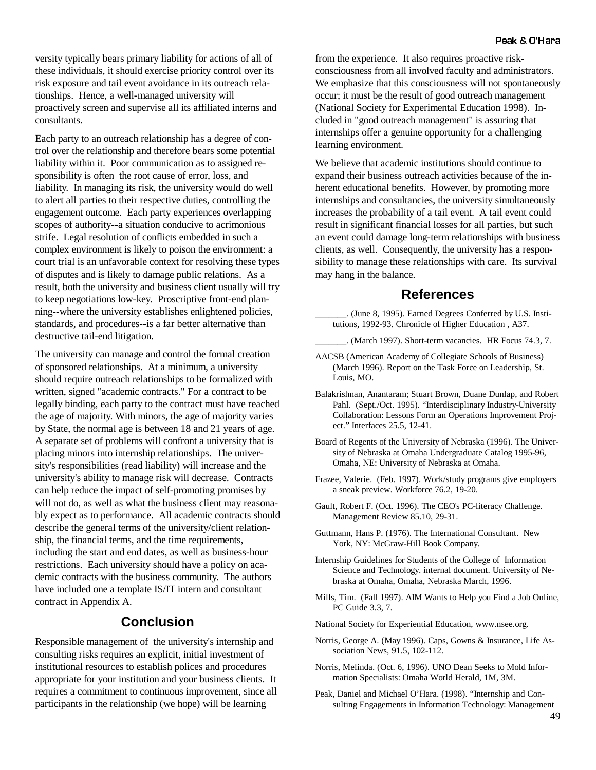versity typically bears primary liability for actions of all of these individuals, it should exercise priority control over its risk exposure and tail event avoidance in its outreach relationships. Hence, a well-managed university will proactively screen and supervise all its affiliated interns and consultants.

Each party to an outreach relationship has a degree of control over the relationship and therefore bears some potential liability within it. Poor communication as to assigned responsibility is often the root cause of error, loss, and liability. In managing its risk, the university would do well to alert all parties to their respective duties, controlling the engagement outcome. Each party experiences overlapping scopes of authority--a situation conducive to acrimonious strife. Legal resolution of conflicts embedded in such a complex environment is likely to poison the environment: a court trial is an unfavorable context for resolving these types of disputes and is likely to damage public relations. As a result, both the university and business client usually will try to keep negotiations low-key. Proscriptive front-end planning--where the university establishes enlightened policies, standards, and procedures--is a far better alternative than destructive tail-end litigation.

The university can manage and control the formal creation of sponsored relationships. At a minimum, a university should require outreach relationships to be formalized with written, signed "academic contracts." For a contract to be legally binding, each party to the contract must have reached the age of majority. With minors, the age of majority varies by State, the normal age is between 18 and 21 years of age. A separate set of problems will confront a university that is placing minors into internship relationships. The university's responsibilities (read liability) will increase and the university's ability to manage risk will decrease. Contracts can help reduce the impact of self-promoting promises by will not do, as well as what the business client may reasonably expect as to performance. All academic contracts should describe the general terms of the university/client relationship, the financial terms, and the time requirements, including the start and end dates, as well as business-hour restrictions. Each university should have a policy on academic contracts with the business community. The authors have included one a template IS/IT intern and consultant contract in Appendix A.

# **Conclusion**

Responsible management of the university's internship and consulting risks requires an explicit, initial investment of institutional resources to establish polices and procedures appropriate for your institution and your business clients. It requires a commitment to continuous improvement, since all participants in the relationship (we hope) will be learning

from the experience. It also requires proactive riskconsciousness from all involved faculty and administrators. We emphasize that this consciousness will not spontaneously occur; it must be the result of good outreach management (National Society for Experimental Education 1998). Included in "good outreach management" is assuring that internships offer a genuine opportunity for a challenging learning environment.

We believe that academic institutions should continue to expand their business outreach activities because of the inherent educational benefits. However, by promoting more internships and consultancies, the university simultaneously increases the probability of a tail event. A tail event could result in significant financial losses for all parties, but such an event could damage long-term relationships with business clients, as well. Consequently, the university has a responsibility to manage these relationships with care. Its survival may hang in the balance.

#### **References**

\_\_\_\_\_\_\_. (June 8, 1995). Earned Degrees Conferred by U.S. Institutions, 1992-93. Chronicle of Higher Education , A37.

\_\_\_\_\_\_\_. (March 1997). Short-term vacancies. HR Focus 74.3, 7.

- AACSB (American Academy of Collegiate Schools of Business) (March 1996). Report on the Task Force on Leadership, St. Louis, MO.
- Balakrishnan, Anantaram; Stuart Brown, Duane Dunlap, and Robert Pahl. (Sept./Oct. 1995). "Interdisciplinary Industry-University Collaboration: Lessons Form an Operations Improvement Project." Interfaces 25.5, 12-41.
- Board of Regents of the University of Nebraska (1996). The University of Nebraska at Omaha Undergraduate Catalog 1995-96, Omaha, NE: University of Nebraska at Omaha.
- Frazee, Valerie. (Feb. 1997). Work/study programs give employers a sneak preview. Workforce 76.2, 19-20.
- Gault, Robert F. (Oct. 1996). The CEO's PC-literacy Challenge. Management Review 85.10, 29-31.
- Guttmann, Hans P. (1976). The International Consultant. New York, NY: McGraw-Hill Book Company.
- Internship Guidelines for Students of the College of Information Science and Technology. internal document. University of Nebraska at Omaha, Omaha, Nebraska March, 1996.
- Mills, Tim. (Fall 1997). AIM Wants to Help you Find a Job Online, PC Guide 3.3, 7.

National Society for Experiential Education, www.nsee.org.

- Norris, George A. (May 1996). Caps, Gowns & Insurance, Life Association News, 91.5, 102-112.
- Norris, Melinda. (Oct. 6, 1996). UNO Dean Seeks to Mold Information Specialists: Omaha World Herald, 1M, 3M.
- Peak, Daniel and Michael O'Hara. (1998). "Internship and Consulting Engagements in Information Technology: Management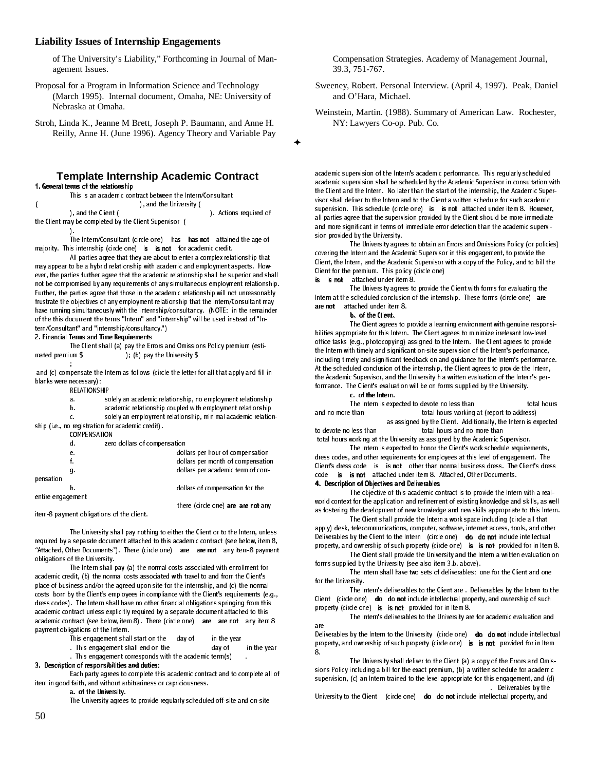of The University's Liability," Forthcoming in Journal of Management Issues.

Proposal for a Program in Information Science and Technology (March 1995). Internal document, Omaha, NE: University of Nebraska at Omaha.

Stroh, Linda K., Jeanne M Brett, Joseph P. Baumann, and Anne H. Reilly, Anne H. (June 1996). Agency Theory and Variable Pay

#### **Template Internship Academic Contract** 1. General terms of the relationship

This is an academic contract between the Intern/Consultant  $\begin{pmatrix} 0 & 0 & 0 \\ 0 & 0 & 0 \\ 0 & 0 & 0 \end{pmatrix}$ , and the Client ( ). Actions required of the Client may be completed by the Client Supervisor ( -1. The Intern/Consultant (circle one) has has not attained the age of

majority. This internship (circle one) is is not for academic credit. All parties agree that they are about to enter a complex relationship that

may appear to be a hybrid relationship with academic and employment aspects. However, the parties further agree that the academic relationship shall be superior and shall not be compromised by any requirements of any simultaneous employment relationship. Further, the parties agree that those in the academic relationship will not unreasonably frustrate the objectives of any employment relationship that the Intern/Consultant may have running simultaneously with the internship/consultancy. (NOTE: in the remainder of the this document the terms "Intern" and "internship" will be used instead of "Intern/Consultant" and "internship/consultancy.")

#### 2. Financial Terms and Time Requirements

The Client shall (a) pay the Errors and Omissions Policy premium (estimated premium \$); (b) pay the University \$ ); (b) pay the University  $$$ ;

and  $(c)$  compensate the Intern as follows (circle the letter for all that apply and fill in blanks were necessary):

RELATION SHIP

| a. |  | solely an academic relationship, no employment relationship |  |
|----|--|-------------------------------------------------------------|--|
|    |  |                                                             |  |

b. academic relationship coupled with employment relationship

c. solely an employment relationship, minimal academic relationship (i.e., no registration for academic credit).

COMPEN SATION

|                   | d. | zero dollars of compensation |                                    |
|-------------------|----|------------------------------|------------------------------------|
|                   | е. |                              | dollars per hour of compensation   |
|                   |    |                              | dollars per month of compensation  |
|                   | g. |                              | dollars per academic term of com-  |
| pensation         |    |                              |                                    |
|                   | h. |                              | dollars of compensation for the    |
| entire engagement |    |                              |                                    |
|                   |    |                              | there (circle one) are are not any |

item-8 payment obligations of the client.

The University shall pay nothing to either the Client or to the Intern, unless required by a separate document attached to this academic contract (see below, item 8, "Attached, Other Documents"). There (circle one) are are not any item 8 payment obligations of the University.

The Intern shall pay (a) the normal costs associated with enrollment for academic credit, (b) the normal costs associated with travel to and from the Client's place of business and/or the agreed upon site for the internship, and (c) the normal costs born by the Client's employees in compliance with the Client's requirements (e.g., dress codes). The Intern shall have no other financial obligations springing from this academic contract unless explicitly required by a separate document attached to this academic contract (see below, item 8). There (circle one) are are not any item 8 payment obligations of the Intern.

This engagement shall start on the  $\frac{1}{2}$  day of in the year . This engagement shall end on the  $\frac{1}{2}$  day of

. This engagement shall end on the  $\overline{a}$  day of in the year This engagement corresponds with the academic term (s)

#### 3. Description of responsibilities and duties:

Each party agrees to complete this academic contract and to complete all of item in good faith, and without arbitrariness or capriciousness.

a. of the University.

The University agrees to provide regularly scheduled off-site and on-site

Compensation Strategies. Academy of Management Journal, 39.3, 751-767.

Sweeney, Robert. Personal Interview. (April 4, 1997). Peak, Daniel and O'Hara, Michael.

Weinstein, Martin. (1988). Summary of American Law. Rochester, NY: Lawyers Co-op. Pub. Co.

academic supervision of the Intern's academic performance. This regularly scheduled academic supervision shall be scheduled by the Academic Supervisor in consultation with the Client and the Intern. No later than the start of the internship, the Academic Supervisor shall deliver to the Intern and to the Client a written schedule for such academic supervision. This schedule (circle one) is is not attached under item 8. However, all parties agree that the supervision provided by the Client should be more immediate and more significant in terms of immediate error detection than the academic supervision provided by the University.

The University agrees to obtain an Errors and Omissions Policy (or policies) covering the Intern and the Academic Supervisor in this engagement, to provide the Client, the Intern, and the Academic Supervisor with a copy of the Policy, and to bill the Client for the premium. This policy (circle one)

is is not attached under item 8.

 $\ddotmark$ 

The University agrees to provide the Client with forms for evaluating the Intern at the scheduled conclusion of the internship. These forms (circle one) are  $are not$  attached under item  $8.$ 

b. of the Client.

The Client agrees to provide a learning environment with genuine responsibilities appropriate for this Intern. The Client agrees to minimize irrelevant low-level office tasks (e.g., photocopying) assigned to the Intern. The Client agrees to provide the Intern with timely and significant on-site supervision of the Intern's performance, including timely and significant feedback on and guidance for the Intern's performance. At the scheduled conclusion of the internship, the Client agrees to provide the Intern, the Academic Supervisor, and the University h a written evaluation of the Intern's performance. The Client's evaluation will be on forms supplied by the University.

c. of the Intern.

The Intern is expected to devote no less than the storal hours and no more than total hours working at (report to address) as assigned by the Client. Additionally, the Intern is expected to devote no less than total hours and no more than total hours working at the University as assigned by the Academic Supervisor.

The Intern is expected to honor the Client's work schedule requirements, dress codes, and other requirements for employees at this level of engagement. The Client's dress code is is not other than normal business dress. The Client's dress code is is not attached under item 8. Attached, Other Documents. 4. Description of Objectives and Deliverables

The objective of this academic contract is to provide the Intern with a realworld context for the application and refinement of existing knowledge and skills, as well as fostering the development of new knowledge and new skills appropriate to this Intern.

The Client shall provide the Intern a work space including (circle all that apply) desk, telecommunications, computer, software, internet access, tools, and other Deliverables by the Client to the Intern (circle one) do donot include intellectual property, and ownership of such property (circle one) is is not provided for in Item 8.

The Client shall provide the University and the Intern a written evaluation on forms supplied by the University (see also item 3.b. above).

The Intern shall have two sets of deliverables: one for the Client and one for the University

The Intern's deliverables to the Client are . Deliverables by the Intern to the Client (circle one) do do not include intellectual property, and ownership of such property (circle one) is is not provided for in Item 8.

The Intern's deliverables to the University are for academic evaluation and are

Deliverables by the Intern to the University (circle one) do do not include intellectual property, and ownership of such property (circle one) is is not provided for in Item 8.

The University shall deliver to the Client (a) a copy of the Errors and Omissions Policy including a bill for the exact premium, (b) a written schedule for academic supervision, (c) an Intern trained to the level appropriate for this engagement, and (d) Deliverables by the

University to the Client (circle one) do do not include intellectual property, and